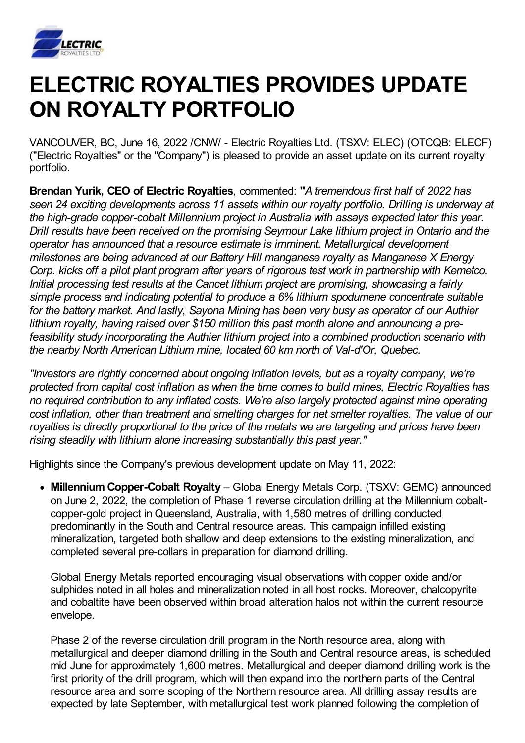

## **ELECTRIC ROYALTIES PROVIDES UPDATE ON ROYALTY PORTFOLIO**

VANCOUVER, BC, June 16, 2022 /CNW/ - Electric Royalties Ltd. (TSXV: ELEC) (OTCQB: ELECF) ("Electric Royalties" or the "Company") is pleased to provide an asset update on its current royalty portfolio.

**Brendan Yurik, CEO of Electric Royalties**, commented: **"***A tremendous first half of 2022 has seen 24 exciting developments across 11 assets within our royalty portfolio. Drilling is underway at the high-grade copper-cobalt Millennium project in Australia with assays expected later this year. Drill results have been received on the promising Seymour Lake lithium project in Ontario and the operator has announced that a resource estimate is imminent. Metallurgical development milestones are being advanced at our Battery Hill manganese royalty as Manganese X Energy Corp. kicks off a pilot plant program after years of rigorous test work in partnership with Kemetco. Initial processing test results at the Cancet lithium project are promising, showcasing a fairly simple process and indicating potential to produce a 6% lithium spodumene concentrate suitable for the battery market. And lastly, Sayona Mining has been very busy as operator of our Authier lithium royalty, having raised over \$150 million this past month alone and announcing a prefeasibility study incorporating the Authier lithium project into a combined production scenario with the nearby North American Lithium mine, located 60 km north of Val-d'Or, Quebec.*

*"Investors are rightly concerned about ongoing inflation levels, but as a royalty company, we're protected from capital cost inflation as when the time comes to build mines, Electric Royalties has no required contribution to any inflated costs. We're also largely protected against mine operating cost inflation, other than treatment and smelting charges for net smelter royalties. The value of our royalties is directly proportional to the price of the metals we are targeting and prices have been rising steadily with lithium alone increasing substantially this past year."*

Highlights since the Company's previous development update on May 11, 2022:

**Millennium Copper-Cobalt Royalty** – Global Energy Metals Corp. (TSXV: GEMC) announced on June 2, 2022, the completion of Phase 1 reverse circulation drilling at the Millennium cobaltcopper-gold project in Queensland, Australia, with 1,580 metres of drilling conducted predominantly in the South and Central resource areas. This campaign infilled existing mineralization, targeted both shallow and deep extensions to the existing mineralization, and completed several pre-collars in preparation for diamond drilling.

Global Energy Metals reported encouraging visual observations with copper oxide and/or sulphides noted in all holes and mineralization noted in all host rocks. Moreover, chalcopyrite and cobaltite have been observed within broad alteration halos not within the current resource envelope.

Phase 2 of the reverse circulation drill program in the North resource area, along with metallurgical and deeper diamond drilling in the South and Central resource areas, is scheduled mid June for approximately 1,600 metres. Metallurgical and deeper diamond drilling work is the first priority of the drill program, which will then expand into the northern parts of the Central resource area and some scoping of the Northern resource area. All drilling assay results are expected by late September, with metallurgical test work planned following the completion of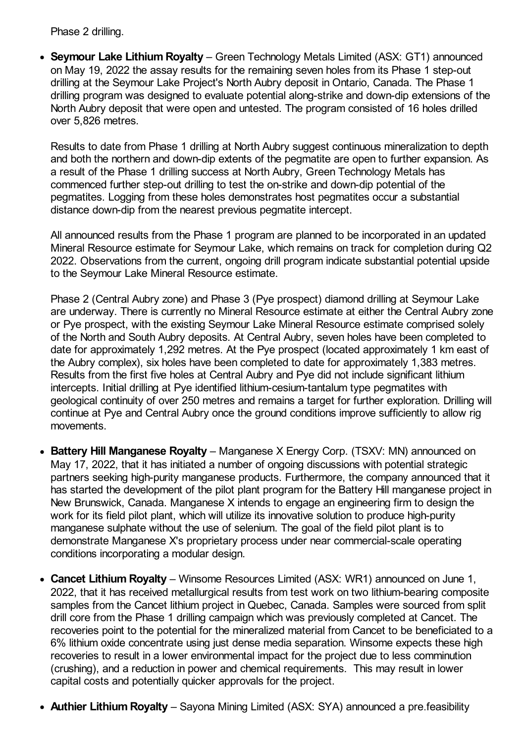Phase 2 drilling.

**Seymour Lake Lithium Royalty** – Green Technology Metals Limited (ASX: GT1) announced on May 19, 2022 the assay results for the remaining seven holes from its Phase 1 step-out drilling at the Seymour Lake Project's North Aubry deposit in Ontario, Canada. The Phase 1 drilling program was designed to evaluate potential along-strike and down-dip extensions of the North Aubry deposit that were open and untested. The program consisted of 16 holes drilled over 5,826 metres.

Results to date from Phase 1 drilling at North Aubry suggest continuous mineralization to depth and both the northern and down-dip extents of the pegmatite are open to further expansion. As a result of the Phase 1 drilling success at North Aubry, Green Technology Metals has commenced further step-out drilling to test the on-strike and down-dip potential of the pegmatites. Logging from these holes demonstrates host pegmatites occur a substantial distance down-dip from the nearest previous pegmatite intercept.

All announced results from the Phase 1 program are planned to be incorporated in an updated Mineral Resource estimate for Seymour Lake, which remains on track for completion during Q2 2022. Observations from the current, ongoing drill program indicate substantial potential upside to the Seymour Lake Mineral Resource estimate.

Phase 2 (Central Aubry zone) and Phase 3 (Pye prospect) diamond drilling at Seymour Lake are underway. There is currently no Mineral Resource estimate at either the Central Aubry zone or Pye prospect, with the existing Seymour Lake Mineral Resource estimate comprised solely of the North and South Aubry deposits. At Central Aubry, seven holes have been completed to date for approximately 1,292 metres. At the Pye prospect (located approximately 1 km east of the Aubry complex), six holes have been completed to date for approximately 1,383 metres. Results from the first five holes at Central Aubry and Pye did not include significant lithium intercepts. Initial drilling at Pye identified lithium-cesium-tantalum type pegmatites with geological continuity of over 250 metres and remains a target for further exploration. Drilling will continue at Pye and Central Aubry once the ground conditions improve sufficiently to allow rig movements.

- **Battery Hill Manganese Royalty** Manganese X Energy Corp. (TSXV: MN) announced on May 17, 2022, that it has initiated a number of ongoing discussions with potential strategic partners seeking high-purity manganese products. Furthermore, the company announced that it has started the development of the pilot plant program for the Battery Hill manganese project in New Brunswick, Canada. Manganese X intends to engage an engineering firm to design the work for its field pilot plant, which will utilize its innovative solution to produce high-purity manganese sulphate without the use of selenium. The goal of the field pilot plant is to demonstrate Manganese X's proprietary process under near commercial-scale operating conditions incorporating a modular design.
- **Cancet Lithium Royalty** Winsome Resources Limited (ASX: WR1) announced on June 1, 2022, that it has received metallurgical results from test work on two lithium-bearing composite samples from the Cancet lithium project in Quebec, Canada. Samples were sourced from split drill core from the Phase 1 drilling campaign which was previously completed at Cancet. The recoveries point to the potential for the mineralized material from Cancet to be beneficiated to a 6% lithium oxide concentrate using just dense media separation. Winsome expects these high recoveries to result in a lower environmental impact for the project due to less comminution (crushing), and a reduction in power and chemical requirements. This may result in lower capital costs and potentially quicker approvals for the project.
- **Authier Lithium Royalty** Sayona Mining Limited (ASX: SYA) announced a pre feasibility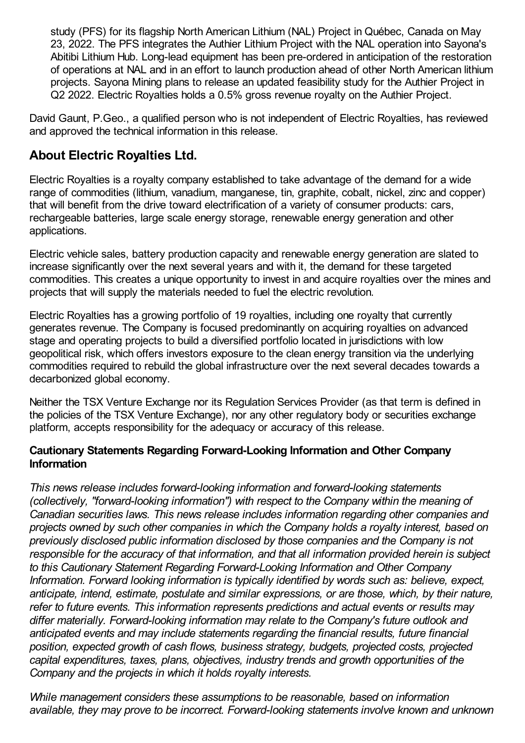study (PFS) for its flagship North American Lithium (NAL) Project in Québec, Canada on May 23, 2022. The PFS integrates the Authier Lithium Project with the NAL operation into Sayona's Abitibi Lithium Hub. Long-lead equipment has been pre-ordered in anticipation of the restoration of operations at NAL and in an effort to launch production ahead of other North American lithium projects. Sayona Mining plans to release an updated feasibility study for the Authier Project in Q2 2022. Electric Royalties holds a 0.5% gross revenue royalty on the Authier Project.

David Gaunt, P.Geo., a qualified person who is not independent of Electric Royalties, has reviewed and approved the technical information in this release.

## **About Electric Royalties Ltd.**

Electric Royalties is a royalty company established to take advantage of the demand for a wide range of commodities (lithium, vanadium, manganese, tin, graphite, cobalt, nickel, zinc and copper) that will benefit from the drive toward electrification of a variety of consumer products: cars, rechargeable batteries, large scale energy storage, renewable energy generation and other applications.

Electric vehicle sales, battery production capacity and renewable energy generation are slated to increase significantly over the next several years and with it, the demand for these targeted commodities. This creates a unique opportunity to invest in and acquire royalties over the mines and projects that will supply the materials needed to fuel the electric revolution.

Electric Royalties has a growing portfolio of 19 royalties, including one royalty that currently generates revenue. The Company is focused predominantly on acquiring royalties on advanced stage and operating projects to build a diversified portfolio located in jurisdictions with low geopolitical risk, which offers investors exposure to the clean energy transition via the underlying commodities required to rebuild the global infrastructure over the next several decades towards a decarbonized global economy.

Neither the TSX Venture Exchange nor its Regulation Services Provider (as that term is defined in the policies of the TSX Venture Exchange), nor any other regulatory body or securities exchange platform, accepts responsibility for the adequacy or accuracy of this release.

## **Cautionary Statements Regarding Forward-Looking Information and Other Company Information**

*This news release includes forward-looking information and forward-looking statements (collectively, "forward-looking information") with respect to the Company within the meaning of Canadian securities laws. This news release includes information regarding other companies and projects owned by such other companies in which the Company holds a royalty interest, based on previously disclosed public information disclosed by those companies and the Company is not responsible for the accuracy of that information, and that all information provided herein is subject to this Cautionary Statement Regarding Forward-Looking Information and Other Company Information. Forward looking information is typically identified by words such as: believe, expect, anticipate, intend, estimate, postulate and similar expressions, or are those, which, by their nature, refer to future events. This information represents predictions and actual events or results may differ materially. Forward-looking information may relate to the Company's future outlook and anticipated events and may include statements regarding the financial results, future financial position, expected growth of cash flows, business strategy, budgets, projected costs, projected capital expenditures, taxes, plans, objectives, industry trends and growth opportunities of the Company and the projects in which it holds royalty interests.*

*While management considers these assumptions to be reasonable, based on information available, they may prove to be incorrect. Forward-looking statements involve known and unknown*